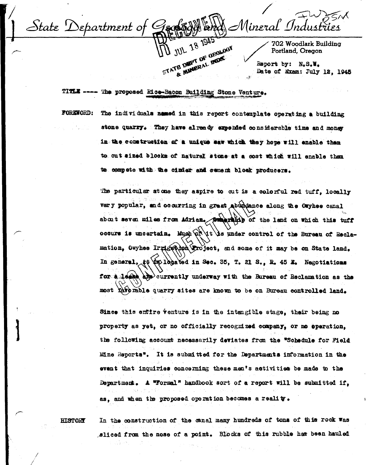$\bigotimes$ Mineral Industri State Department of **JUL 18 1945** STATE DEPT OF DEQLOCK 702 Woodlark Building Portland. Oregon & MINERAL MUS Report by: N.S.W. Date of Exam: July 12, 1945

TITLE ---- The proposed Rice-Bacon Building Stone Venture.

**FOREWORD:** The individuals named in this report contemplate operating a building stone quarry. They have already expended considerable time and money in the construction of a unique saw which they hepe will enable them to cut sized blocks of natural stone at a cost which will enable then to compete with the cinder and cement block producers.

> The particular stone they aspire to cut is a colorful red tuff, locally very popular, and occurring in great abundance along the Owyhee canal about seven miles from Adrian. pumprise of the land on which this tuff occurs is uncertain. Much  $\widehat{\varphi_k}$  it is under control of the Bureau of Reclamation, Owyhee Irrigation Project, and some of it may be on State land. In general, it to logated in Sec. 35, T. 21 S., R. 45 E. Negotiations for a lease are currently underway with the Bureau of Reclamation as the most kare mable quarry sites are known to be on Bureau controlled land.

Since this entire venture is in the intengible stage, their being no property as yet, or no officially recognized company, or no operation. the following account necessarily deviates from the "Schedule for Field Mine Reports". It is submitted for the Departments information in the event that inquiries concerning these men's activities be made to the Department. A "Formal" handbook sort of a report will be submitted if. as, and when the proposed operation becomes a reality.

**HISTORY** 

In the construction of the canal many hundreds of tons of this rock was sliced from the nose of a point. Blocks of this rubble has been hauled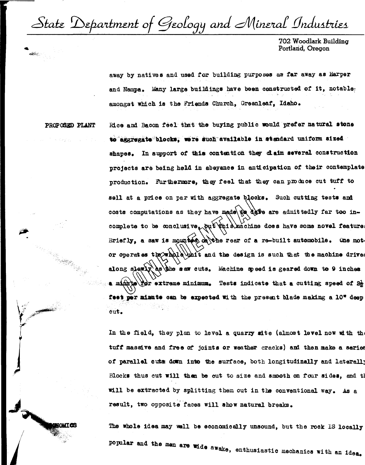State Department of Geology and Mineral Industries

702 Woodlark Building Portland, Oregon

away by natives and used for building purposes as far away as Harper and Nampa. Many large buildings have been constructed of it, notable: amongst which is the Friends Church, Greenleaf, Idaho.

PROPOSED PLANT

VOLIT AS

Rice and Bacon feel that the buying public would prefer natural stone to aggregate blocks. were such available in standard uniform sized shapes. In support of this contention they claim several construction projects are being held in abeyance in anticipation of their contemplate production. Furthermore, they feel that they can produce cut tuff to sell at a price on par with aggregate blocks. Such cutting tests and costs computations as they have made to dere admittedly far too incomplete to be conclusive, but this machine does have some novel feature Briefly, a saw is mounted on the rear of a re-built automobile. One motor operates the whole thit and the design is such that the machine drive along slewly as the saw cuts. Machine speed is geared down to 9 inches a minite Por extreme minimum. Tests indicate that a cutting speed of  $2\frac{1}{2}$ feet per minute can be expected with the present blade making a 10" deep cut.

In the field, they plan to level a quarry site (almost level now with the tuff massive and free of joints or weather cracks) and then make a series of parallel cuts down into the surface, both longitudinally and laterally Blocks thus cut will then be cut to size and smooth on four sides, and th will be extracted by splitting them out in the conventional way. As a result, two opposite faces will show natural breaks.

The whole idea may well be economically unsound, but the rock IS locally popular and the men are wide awake, enthusiastic mechanics with an idea.